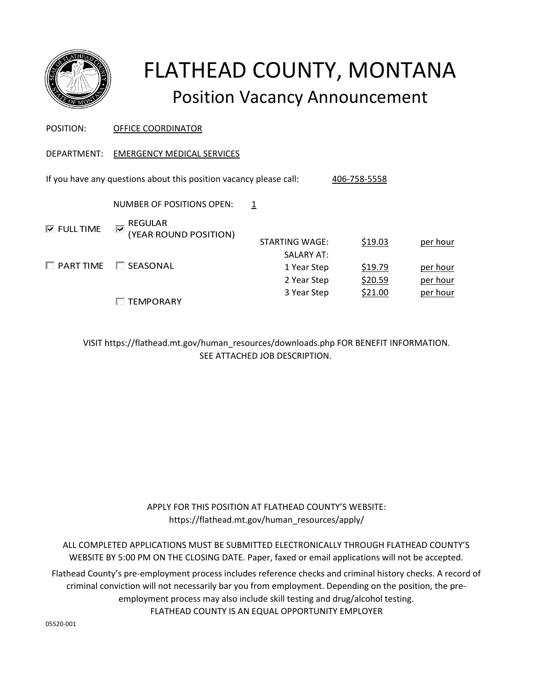

# FLATHEAD COUNTY, MONTANA Position Vacancy Announcement

| POSITION:                                                                          | OFFICE COORDINATOR                                                         |                                                 |                    |                      |  |
|------------------------------------------------------------------------------------|----------------------------------------------------------------------------|-------------------------------------------------|--------------------|----------------------|--|
| DEPARTMENT:                                                                        | <b>EMERGENCY MEDICAL SERVICES</b>                                          |                                                 |                    |                      |  |
| If you have any questions about this position vacancy please call:<br>406-758-5558 |                                                                            |                                                 |                    |                      |  |
|                                                                                    | NUMBER OF POSITIONS OPEN:                                                  | 1                                               |                    |                      |  |
| <b>V</b> FULL TIME                                                                 | <b>REGULAR</b><br>$\overline{\blacktriangledown}$<br>(YEAR ROUND POSITION) | STARTING WAGE:                                  | \$19.03            | per hour             |  |
| $\Box$ PART TIME                                                                   | SEASONAL<br><b>I</b>                                                       | <b>SALARY AT:</b><br>1 Year Step<br>2 Year Step | \$19.79<br>\$20.59 | per hour<br>per hour |  |
|                                                                                    | TEMPORARY                                                                  | 3 Year Step                                     | \$21.00            | per hour             |  |

VISIT https://flathead.mt.gov/human\_resources/downloads.php FOR BENEFIT INFORMATION. SEE ATTACHED JOB DESCRIPTION.

> APPLY FOR THIS POSITION AT FLATHEAD COUNTY'S WEBSITE: https://flathead.mt.gov/human\_resources/apply/

ALL COMPLETED APPLICATIONS MUST BE SUBMITTED ELECTRONICALLY THROUGH FLATHEAD COUNTY'S WEBSITE BY 5:00 PM ON THE CLOSING DATE. Paper, faxed or email applications will not be accepted.

FLATHEAD COUNTY IS AN EQUAL OPPORTUNITY EMPLOYER Flathead County's pre-employment process includes reference checks and criminal history checks. A record of criminal conviction will not necessarily bar you from employment. Depending on the position, the preemployment process may also include skill testing and drug/alcohol testing.

05520-001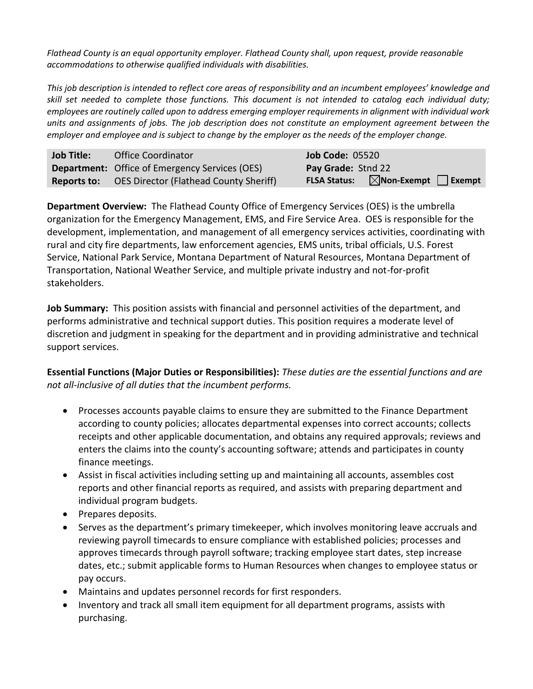*Flathead County is an equal opportunity employer. Flathead County shall, upon request, provide reasonable accommodations to otherwise qualified individuals with disabilities.*

*This job description is intended to reflect core areas of responsibility and an incumbent employees' knowledge and skill set needed to complete those functions. This document is not intended to catalog each individual duty; employees are routinely called upon to address emerging employer requirements in alignment with individual work units and assignments of jobs. The job description does not constitute an employment agreement between the employer and employee and is subject to change by the employer as the needs of the employer change.*

| <b>Job Title:</b> | <b>Office Coordinator</b>                                 | <b>Job Code: 05520</b>                                      |
|-------------------|-----------------------------------------------------------|-------------------------------------------------------------|
|                   | Department: Office of Emergency Services (OES)            | Pay Grade: Stnd 22                                          |
|                   | <b>Reports to:</b> OES Director (Flathead County Sheriff) | $\boxtimes$ Non-Exempt $\Box$ Exempt<br><b>FLSA Status:</b> |

**Department Overview:** The Flathead County Office of Emergency Services (OES) is the umbrella organization for the Emergency Management, EMS, and Fire Service Area. OES is responsible for the development, implementation, and management of all emergency services activities, coordinating with rural and city fire departments, law enforcement agencies, EMS units, tribal officials, U.S. Forest Service, National Park Service, Montana Department of Natural Resources, Montana Department of Transportation, National Weather Service, and multiple private industry and not-for-profit stakeholders.

**Job Summary:** This position assists with financial and personnel activities of the department, and performs administrative and technical support duties. This position requires a moderate level of discretion and judgment in speaking for the department and in providing administrative and technical support services.

**Essential Functions (Major Duties or Responsibilities):** *These duties are the essential functions and are not all-inclusive of all duties that the incumbent performs.*

- Processes accounts payable claims to ensure they are submitted to the Finance Department according to county policies; allocates departmental expenses into correct accounts; collects receipts and other applicable documentation, and obtains any required approvals; reviews and enters the claims into the county's accounting software; attends and participates in county finance meetings.
- Assist in fiscal activities including setting up and maintaining all accounts, assembles cost reports and other financial reports as required, and assists with preparing department and individual program budgets.
- Prepares deposits.
- Serves as the department's primary timekeeper, which involves monitoring leave accruals and reviewing payroll timecards to ensure compliance with established policies; processes and approves timecards through payroll software; tracking employee start dates, step increase dates, etc.; submit applicable forms to Human Resources when changes to employee status or pay occurs.
- Maintains and updates personnel records for first responders.
- Inventory and track all small item equipment for all department programs, assists with purchasing.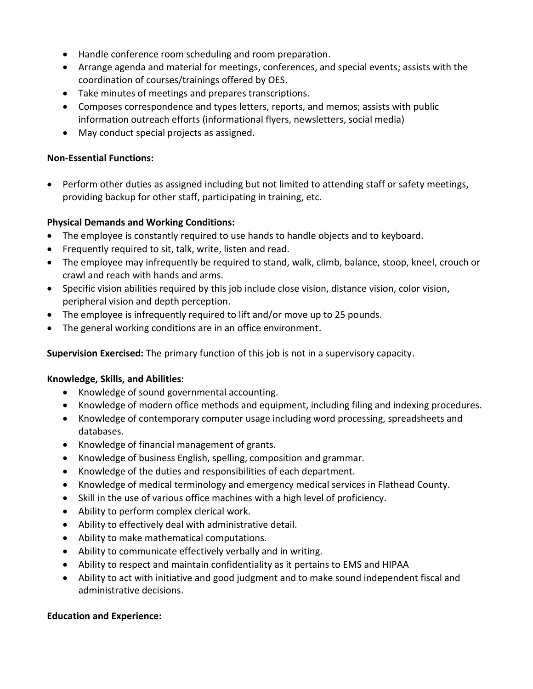- Handle conference room scheduling and room preparation.
- Arrange agenda and material for meetings, conferences, and special events; assists with the coordination of courses/trainings offered by OES.
- Take minutes of meetings and prepares transcriptions.
- Composes correspondence and types letters, reports, and memos; assists with public information outreach efforts (informational flyers, newsletters, social media)
- May conduct special projects as assigned.

## **Non-Essential Functions:**

 Perform other duties as assigned including but not limited to attending staff or safety meetings, providing backup for other staff, participating in training, etc.

## **Physical Demands and Working Conditions:**

- The employee is constantly required to use hands to handle objects and to keyboard.
- Frequently required to sit, talk, write, listen and read.
- The employee may infrequently be required to stand, walk, climb, balance, stoop, kneel, crouch or crawl and reach with hands and arms.
- Specific vision abilities required by this job include close vision, distance vision, color vision, peripheral vision and depth perception.
- The employee is infrequently required to lift and/or move up to 25 pounds.
- The general working conditions are in an office environment.

**Supervision Exercised:** The primary function of this job is not in a supervisory capacity.

### **Knowledge, Skills, and Abilities:**

- Knowledge of sound governmental accounting.
- Knowledge of modern office methods and equipment, including filing and indexing procedures.
- Knowledge of contemporary computer usage including word processing, spreadsheets and databases.
- Knowledge of financial management of grants.
- Knowledge of business English, spelling, composition and grammar.
- Knowledge of the duties and responsibilities of each department.
- Knowledge of medical terminology and emergency medical services in Flathead County.
- Skill in the use of various office machines with a high level of proficiency.
- Ability to perform complex clerical work.
- Ability to effectively deal with administrative detail.
- Ability to make mathematical computations.
- Ability to communicate effectively verbally and in writing.
- Ability to respect and maintain confidentiality as it pertains to EMS and HIPAA
- Ability to act with initiative and good judgment and to make sound independent fiscal and administrative decisions.

### **Education and Experience:**